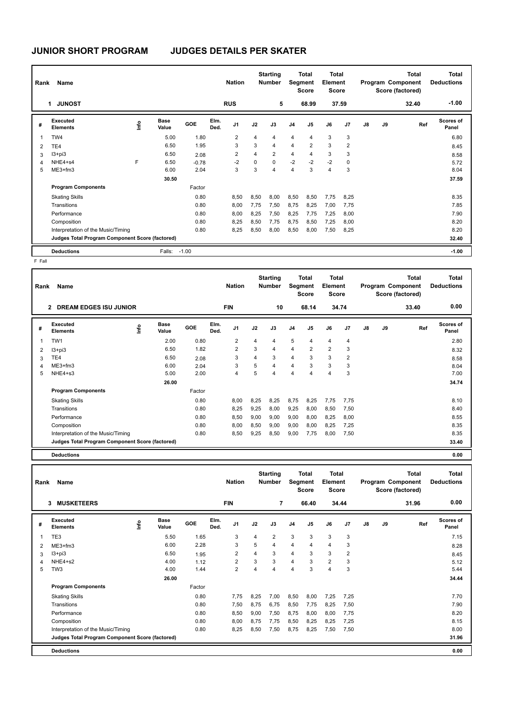| Rank | Name                                            |      |                      |         |              | <b>Nation</b>  |      | <b>Starting</b><br><b>Number</b> |                | Total<br>Segment<br><b>Score</b> | <b>Total</b><br>Element<br><b>Score</b> |       |               |    | <b>Total</b><br>Program Component<br>Score (factored) | Total<br><b>Deductions</b> |
|------|-------------------------------------------------|------|----------------------|---------|--------------|----------------|------|----------------------------------|----------------|----------------------------------|-----------------------------------------|-------|---------------|----|-------------------------------------------------------|----------------------------|
|      | <b>JUNOST</b><br>1                              |      |                      |         |              | <b>RUS</b>     |      | 5                                |                | 68.99                            |                                         | 37.59 |               |    | 32.40                                                 | $-1.00$                    |
| #    | Executed<br><b>Elements</b>                     | ١nfo | <b>Base</b><br>Value | GOE     | Elm.<br>Ded. | J <sub>1</sub> | J2   | J3                               | J <sub>4</sub> | J5                               | J6                                      | J7    | $\mathsf{J}8$ | J9 | Ref                                                   | Scores of<br>Panel         |
|      | TW4                                             |      | 5.00                 | 1.80    |              | $\overline{2}$ | 4    | $\overline{4}$                   | 4              | 4                                | 3                                       | 3     |               |    |                                                       | 6.80                       |
| 2    | TE4                                             |      | 6.50                 | 1.95    |              | 3              | 3    | $\overline{4}$                   | 4              | $\overline{2}$                   | 3                                       | 2     |               |    |                                                       | 8.45                       |
| 3    | $13 + pi3$                                      |      | 6.50                 | 2.08    |              | 2              | 4    | $\overline{2}$                   | 4              | 4                                | 3                                       | 3     |               |    |                                                       | 8.58                       |
| 4    | NHE4+s4                                         | F    | 6.50                 | $-0.78$ |              | $-2$           | 0    | $\mathbf 0$                      | $-2$           | $-2$                             | $-2$                                    | 0     |               |    |                                                       | 5.72                       |
| 5    | $ME3+fm3$                                       |      | 6.00                 | 2.04    |              | 3              | 3    | $\overline{4}$                   | 4              | 3                                | $\overline{4}$                          | 3     |               |    |                                                       | 8.04                       |
|      |                                                 |      | 30.50                |         |              |                |      |                                  |                |                                  |                                         |       |               |    |                                                       | 37.59                      |
|      | <b>Program Components</b>                       |      |                      | Factor  |              |                |      |                                  |                |                                  |                                         |       |               |    |                                                       |                            |
|      | <b>Skating Skills</b>                           |      |                      | 0.80    |              | 8,50           | 8,50 | 8,00                             | 8,50           | 8,50                             | 7,75                                    | 8,25  |               |    |                                                       | 8.35                       |
|      | Transitions                                     |      |                      | 0.80    |              | 8,00           | 7,75 | 7,50                             | 8,75           | 8,25                             | 7,00                                    | 7,75  |               |    |                                                       | 7.85                       |
|      | Performance                                     |      |                      | 0.80    |              | 8,00           | 8,25 | 7,50                             | 8,25           | 7,75                             | 7,25                                    | 8,00  |               |    |                                                       | 7.90                       |
|      | Composition                                     |      |                      | 0.80    |              | 8,25           | 8,50 | 7,75                             | 8,75           | 8,50                             | 7,25                                    | 8,00  |               |    |                                                       | 8.20                       |
|      | Interpretation of the Music/Timing              |      |                      | 0.80    |              | 8,25           | 8,50 | 8,00                             | 8,50           | 8,00                             | 7,50                                    | 8,25  |               |    |                                                       | 8.20                       |
|      | Judges Total Program Component Score (factored) |      |                      |         |              |                |      |                                  |                |                                  |                                         |       |               |    |                                                       | 32.40                      |
|      | <b>Deductions</b>                               |      | Falls:               | $-1.00$ |              |                |      |                                  |                |                                  |                                         |       |               |    |                                                       | $-1.00$                    |

F Fall

| Rank | Name                                            |                     |       |        |              | <b>Nation</b>  |      | <b>Starting</b><br><b>Number</b> | Segment        | <b>Total</b><br><b>Score</b> | Total<br>Element<br><b>Score</b> |                |    |    | <b>Total</b><br>Program Component<br>Score (factored) | <b>Total</b><br><b>Deductions</b> |  |
|------|-------------------------------------------------|---------------------|-------|--------|--------------|----------------|------|----------------------------------|----------------|------------------------------|----------------------------------|----------------|----|----|-------------------------------------------------------|-----------------------------------|--|
|      | <b>DREAM EDGES ISU JUNIOR</b><br>$\overline{2}$ |                     |       |        |              | <b>FIN</b>     |      | 10                               |                | 68.14                        |                                  | 34.74          |    |    | 33.40                                                 | 0.00                              |  |
| #    | Executed<br><b>Elements</b>                     | Base<br>۴o<br>Value | GOE   |        | Elm.<br>Ded. | J1             | J2   | J3                               | J <sub>4</sub> | J <sub>5</sub>               | J6                               | J <sub>7</sub> | J8 | J9 | Ref                                                   | Scores of<br>Panel                |  |
| 1    | TW1                                             |                     | 2.00  | 0.80   |              | $\overline{2}$ | 4    | 4                                | 5              | $\overline{4}$               | $\overline{4}$                   | 4              |    |    |                                                       | 2.80                              |  |
| 2    | I3+pi3                                          |                     | 6.50  | 1.82   |              | $\overline{2}$ | 3    | 4                                | $\overline{4}$ | $\overline{2}$               | $\overline{2}$                   | 3              |    |    |                                                       | 8.32                              |  |
| 3    | TE4                                             |                     | 6.50  | 2.08   |              | 3              | 4    | 3                                | 4              | 3                            | 3                                | 2              |    |    |                                                       | 8.58                              |  |
| 4    | $ME3+fm3$                                       |                     | 6.00  | 2.04   |              | 3              | 5    | 4                                | $\overline{4}$ | 3                            | 3                                | 3              |    |    |                                                       | 8.04                              |  |
| 5    | NHE4+s3                                         |                     | 5.00  | 2.00   |              | 4              | 5    | 4                                | $\overline{4}$ | 4                            | $\overline{4}$                   | 3              |    |    |                                                       | 7.00                              |  |
|      |                                                 |                     | 26.00 |        |              |                |      |                                  |                |                              |                                  |                |    |    |                                                       | 34.74                             |  |
|      | <b>Program Components</b>                       |                     |       | Factor |              |                |      |                                  |                |                              |                                  |                |    |    |                                                       |                                   |  |
|      | <b>Skating Skills</b>                           |                     |       | 0.80   |              | 8,00           | 8,25 | 8,25                             | 8,75           | 8.25                         | 7,75                             | 7,75           |    |    |                                                       | 8.10                              |  |
|      | Transitions                                     |                     |       | 0.80   |              | 8,25           | 9,25 | 8,00                             | 9,25           | 8,00                         | 8,50                             | 7,50           |    |    |                                                       | 8.40                              |  |
|      | Performance                                     |                     |       | 0.80   |              | 8,50           | 9,00 | 9,00                             | 9,00           | 8,00                         | 8,25                             | 8,00           |    |    |                                                       | 8.55                              |  |
|      | Composition                                     |                     |       | 0.80   |              | 8.00           | 8,50 | 9.00                             | 9,00           | 8.00                         | 8,25                             | 7,25           |    |    |                                                       | 8.35                              |  |
|      | Interpretation of the Music/Timing              |                     |       | 0.80   |              | 8,50           | 9,25 | 8,50                             | 9,00           | 7,75                         | 8,00                             | 7,50           |    |    |                                                       | 8.35                              |  |
|      | Judges Total Program Component Score (factored) |                     |       |        |              |                |      |                                  |                |                              |                                  |                |    |    |                                                       | 33.40                             |  |
|      | <b>Deductions</b>                               |                     |       |        |              |                |      |                                  |                |                              |                                  |                |    |    |                                                       | 0.00                              |  |

**Total Deductions Total Program Component Score (factored) Total Element Score Total Segment Score Starting Rank Name Nation Number # Executed Elements Base Value GOE J1 J2 J3 J4 J5 J6 J7 J8 J9 Scores of Panel** 1 5.50 1.65 3 4 2 3 3 3 3 **Ref**  7.15 **Elm. Ded.**  TE3 **Info 3 MUSKETEERS FIN 7 66.40 34.44 31.96 0.00** 2 ME3+fm3 6.00 2.28 3 5 4 4 4 4 3 8.28 3 I3+pi3 6.50 1.95 2 4 3 4 3 3 2 8.45 4 NHE4+s2 4.00 1.12 2 3 3 4 3 2 3 5.12 5 TW3 4.00 1.44 2 4 4 4 3 4 3 5.44  **26.00 34.44 Program Components**  Skating Skills **Skating Skills** 3.25 7,00 8,50 8,00 7,25 7,25 7,25 Factor 0.80 7,75 8,25 7,00 8,50 8,00 7,25 7,25 Transitions 0.80 7,50 8,75 6,75 8,50 7,75 8,25 7,50 7.90 Performance 0.80 8,50 9,00 7,50 8,75 8,00 8,00 7,75 8.20 Composition 0.80 8,00 8,75 7,75 8,50 8,25 8,25 7,25 8.15 Interpretation of the Music/Timing 0.80 8,25 8,50 7,50 8,75 8,25 7,50 7,50 876 8.00 8.00 **Deductions 0.00 Judges Total Program Component Score (factored) 31.96**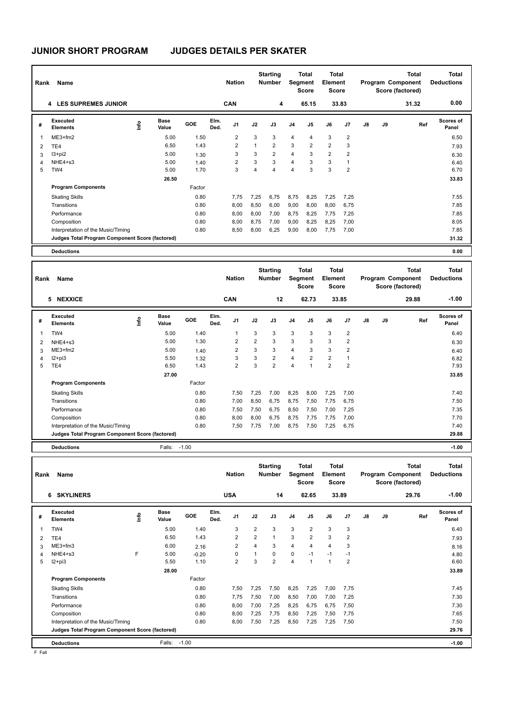| Rank | Name                                            |      |                      |        |              | <b>Nation</b>  |      | <b>Starting</b><br><b>Number</b> |                | <b>Total</b><br>Segment<br><b>Score</b> | Total<br>Element<br><b>Score</b> |                |    |    | Total<br>Program Component<br>Score (factored) | <b>Total</b><br><b>Deductions</b> |
|------|-------------------------------------------------|------|----------------------|--------|--------------|----------------|------|----------------------------------|----------------|-----------------------------------------|----------------------------------|----------------|----|----|------------------------------------------------|-----------------------------------|
|      | <b>4 LES SUPREMES JUNIOR</b>                    |      |                      |        |              | <b>CAN</b>     |      | 4                                |                | 65.15                                   |                                  | 33.83          |    |    | 31.32                                          | 0.00                              |
| #    | Executed<br><b>Elements</b>                     | lnfo | <b>Base</b><br>Value | GOE    | Elm.<br>Ded. | J <sub>1</sub> | J2   | J3                               | J <sub>4</sub> | J5                                      | J6                               | J <sub>7</sub> | J8 | J9 | Ref                                            | Scores of<br>Panel                |
| 1    | $ME3+fm2$                                       |      | 5.00                 | 1.50   |              | $\overline{2}$ | 3    | 3                                | $\overline{4}$ | $\overline{4}$                          | 3                                | $\overline{2}$ |    |    |                                                | 6.50                              |
| 2    | TE4                                             |      | 6.50                 | 1.43   |              | $\overline{2}$ | 1    | $\overline{2}$                   | 3              | $\overline{2}$                          | $\overline{2}$                   | 3              |    |    |                                                | 7.93                              |
| 3    | $13 + pi2$                                      |      | 5.00                 | 1.30   |              | 3              | 3    | $\overline{2}$                   | $\overline{4}$ | 3                                       | $\overline{2}$                   | $\overline{2}$ |    |    |                                                | 6.30                              |
| 4    | NHE4+s3                                         |      | 5.00                 | 1.40   |              | 2              | 3    | 3                                | $\overline{4}$ | 3                                       | 3                                | 1              |    |    |                                                | 6.40                              |
| 5    | TW4                                             |      | 5.00                 | 1.70   |              | 3              | 4    | $\overline{4}$                   | $\overline{4}$ | 3                                       | 3                                | $\overline{2}$ |    |    |                                                | 6.70                              |
|      |                                                 |      | 26.50                |        |              |                |      |                                  |                |                                         |                                  |                |    |    |                                                | 33.83                             |
|      | <b>Program Components</b>                       |      |                      | Factor |              |                |      |                                  |                |                                         |                                  |                |    |    |                                                |                                   |
|      | <b>Skating Skills</b>                           |      |                      | 0.80   |              | 7.75           | 7,25 | 6,75                             | 8,75           | 8,25                                    | 7,25                             | 7,25           |    |    |                                                | 7.55                              |
|      | Transitions                                     |      |                      | 0.80   |              | 8,00           | 8,50 | 6,00                             | 9,00           | 8,00                                    | 8,00                             | 6,75           |    |    |                                                | 7.85                              |
|      | Performance                                     |      |                      | 0.80   |              | 8,00           | 8,00 | 7,00                             | 8,75           | 8,25                                    | 7,75                             | 7,25           |    |    |                                                | 7.85                              |
|      | Composition                                     |      |                      | 0.80   |              | 8,00           | 8,75 | 7,00                             | 9,00           | 8,25                                    | 8,25                             | 7,00           |    |    |                                                | 8.05                              |
|      | Interpretation of the Music/Timing              |      |                      | 0.80   |              | 8,50           | 8.00 | 6,25                             | 9,00           | 8,00                                    | 7.75                             | 7.00           |    |    |                                                | 7.85                              |
|      | Judges Total Program Component Score (factored) |      |                      |        |              |                |      |                                  |                |                                         |                                  |                |    |    |                                                | 31.32                             |
|      | <b>Deductions</b>                               |      |                      |        |              |                |      |                                  |                |                                         |                                  |                |    |    |                                                | 0.00                              |

| Rank                    | Name                                            |      |                      |         |              | <b>Nation</b>  |                | <b>Starting</b><br><b>Number</b> |                | <b>Total</b><br>Segment<br><b>Score</b> | <b>Total</b><br>Element<br><b>Score</b> |                |    |    | <b>Total</b><br>Program Component<br>Score (factored) | <b>Total</b><br><b>Deductions</b> |
|-------------------------|-------------------------------------------------|------|----------------------|---------|--------------|----------------|----------------|----------------------------------|----------------|-----------------------------------------|-----------------------------------------|----------------|----|----|-------------------------------------------------------|-----------------------------------|
|                         | 5 NEXXICE                                       |      |                      |         |              | <b>CAN</b>     |                | 12                               |                | 62.73                                   |                                         | 33.85          |    |    | 29.88                                                 | $-1.00$                           |
| #                       | Executed<br><b>Elements</b>                     | ١nf٥ | <b>Base</b><br>Value | GOE     | Elm.<br>Ded. | J <sub>1</sub> | J2             | J3                               | J <sub>4</sub> | J <sub>5</sub>                          | J6                                      | J7             | J8 | J9 | Ref                                                   | <b>Scores of</b><br>Panel         |
| $\overline{\mathbf{1}}$ | TW4                                             |      | 5.00                 | 1.40    |              | 1              | 3              | 3                                | $\mathbf{3}$   | 3                                       | 3                                       | $\overline{2}$ |    |    |                                                       | 6.40                              |
| 2                       | NHE4+s3                                         |      | 5.00                 | 1.30    |              | 2              | $\overline{2}$ | 3                                | 3              | 3                                       | 3                                       | $\overline{2}$ |    |    |                                                       | 6.30                              |
| 3                       | $ME3+fm2$                                       |      | 5.00                 | 1.40    |              | 2              | 3              | 3                                | $\overline{4}$ | 3                                       | 3                                       | 2              |    |    |                                                       | 6.40                              |
| 4                       | $12 + pi3$                                      |      | 5.50                 | 1.32    |              | 3              | 3              | $\overline{2}$                   | 4              | $\overline{2}$                          | 2                                       |                |    |    |                                                       | 6.82                              |
| 5                       | TE4                                             |      | 6.50                 | 1.43    |              | $\overline{2}$ | 3              | $\overline{2}$                   | $\overline{4}$ | $\overline{1}$                          | $\overline{2}$                          | $\overline{2}$ |    |    |                                                       | 7.93                              |
|                         |                                                 |      | 27.00                |         |              |                |                |                                  |                |                                         |                                         |                |    |    |                                                       | 33.85                             |
|                         | <b>Program Components</b>                       |      |                      | Factor  |              |                |                |                                  |                |                                         |                                         |                |    |    |                                                       |                                   |
|                         | <b>Skating Skills</b>                           |      |                      | 0.80    |              | 7,50           | 7,25           | 7,00                             | 8,25           | 8,00                                    | 7,25                                    | 7,00           |    |    |                                                       | 7.40                              |
|                         | Transitions                                     |      |                      | 0.80    |              | 7,00           | 8,50           | 6,75                             | 8,75           | 7,50                                    | 7,75                                    | 6,75           |    |    |                                                       | 7.50                              |
|                         | Performance                                     |      |                      | 0.80    |              | 7,50           | 7,50           | 6,75                             | 8,50           | 7,50                                    | 7,00                                    | 7,25           |    |    |                                                       | 7.35                              |
|                         | Composition                                     |      |                      | 0.80    |              | 8,00           | 8,00           | 6,75                             | 8,75           | 7,75                                    | 7,75                                    | 7,00           |    |    |                                                       | 7.70                              |
|                         | Interpretation of the Music/Timing              |      |                      | 0.80    |              | 7,50           | 7,75           | 7,00                             | 8,75           | 7,50                                    | 7,25                                    | 6,75           |    |    |                                                       | 7.40                              |
|                         | Judges Total Program Component Score (factored) |      |                      |         |              |                |                |                                  |                |                                         |                                         |                |    |    |                                                       | 29.88                             |
|                         | <b>Deductions</b>                               |      | Falls:               | $-1.00$ |              |                |                |                                  |                |                                         |                                         |                |    |    |                                                       | $-1.00$                           |

| Rank | Name                                            |      |                      |         |              | <b>Nation</b>  |                | <b>Starting</b><br><b>Number</b> |                | <b>Total</b><br>Segment<br><b>Score</b> | <b>Total</b><br>Element<br><b>Score</b> |                |    |    | <b>Total</b><br>Program Component<br>Score (factored) | <b>Total</b><br><b>Deductions</b> |
|------|-------------------------------------------------|------|----------------------|---------|--------------|----------------|----------------|----------------------------------|----------------|-----------------------------------------|-----------------------------------------|----------------|----|----|-------------------------------------------------------|-----------------------------------|
|      | <b>SKYLINERS</b><br>6                           |      |                      |         |              | <b>USA</b>     |                | 14                               |                | 62.65                                   |                                         | 33.89          |    |    | 29.76                                                 | $-1.00$                           |
| #    | Executed<br><b>Elements</b>                     | Info | <b>Base</b><br>Value | GOE     | Elm.<br>Ded. | J <sub>1</sub> | J2             | J3                               | J <sub>4</sub> | J5                                      | J6                                      | J <sub>7</sub> | J8 | J9 | Ref                                                   | Scores of<br>Panel                |
|      | TW4                                             |      | 5.00                 | 1.40    |              | 3              | $\overline{2}$ | 3                                | 3              | $\overline{2}$                          | 3                                       | 3              |    |    |                                                       | 6.40                              |
| 2    | TE4                                             |      | 6.50                 | 1.43    |              | 2              | $\overline{2}$ | 1                                | 3              | $\overline{2}$                          | 3                                       | $\overline{2}$ |    |    |                                                       | 7.93                              |
| 3    | ME3+fm3                                         |      | 6.00                 | 2.16    |              | 2              | $\overline{4}$ | 3                                | $\overline{4}$ | $\overline{4}$                          | 4                                       | 3              |    |    |                                                       | 8.16                              |
| 4    | NHE4+s3                                         | F    | 5.00                 | $-0.20$ |              | $\Omega$       | 1              | $\Omega$                         | 0              | $-1$                                    | $-1$                                    | $-1$           |    |    |                                                       | 4.80                              |
| 5    | $I2 + pi3$                                      |      | 5.50                 | 1.10    |              | $\overline{2}$ | 3              | $\overline{2}$                   | $\overline{4}$ | $\overline{1}$                          | 1                                       | $\overline{2}$ |    |    |                                                       | 6.60                              |
|      |                                                 |      | 28.00                |         |              |                |                |                                  |                |                                         |                                         |                |    |    |                                                       | 33.89                             |
|      | <b>Program Components</b>                       |      |                      | Factor  |              |                |                |                                  |                |                                         |                                         |                |    |    |                                                       |                                   |
|      | <b>Skating Skills</b>                           |      |                      | 0.80    |              | 7,50           | 7,25           | 7,50                             | 8,25           | 7,25                                    | 7,00                                    | 7,75           |    |    |                                                       | 7.45                              |
|      | Transitions                                     |      |                      | 0.80    |              | 7,75           | 7,50           | 7,00                             | 8,50           | 7,00                                    | 7,00                                    | 7,25           |    |    |                                                       | 7.30                              |
|      | Performance                                     |      |                      | 0.80    |              | 8,00           | 7,00           | 7,25                             | 8,25           | 6,75                                    | 6,75                                    | 7,50           |    |    |                                                       | 7.30                              |
|      | Composition                                     |      |                      | 0.80    |              | 8,00           | 7,25           | 7,75                             | 8,50           | 7,25                                    | 7,50                                    | 7,75           |    |    |                                                       | 7.65                              |
|      | Interpretation of the Music/Timing              |      |                      | 0.80    |              | 8,00           | 7,50           | 7,25                             | 8,50           | 7,25                                    | 7,25                                    | 7,50           |    |    |                                                       | 7.50                              |
|      | Judges Total Program Component Score (factored) |      |                      |         |              |                |                |                                  |                |                                         |                                         |                |    |    |                                                       | 29.76                             |
|      | <b>Deductions</b>                               |      | Falls:               | $-1.00$ |              |                |                |                                  |                |                                         |                                         |                |    |    |                                                       | $-1.00$                           |

F Fall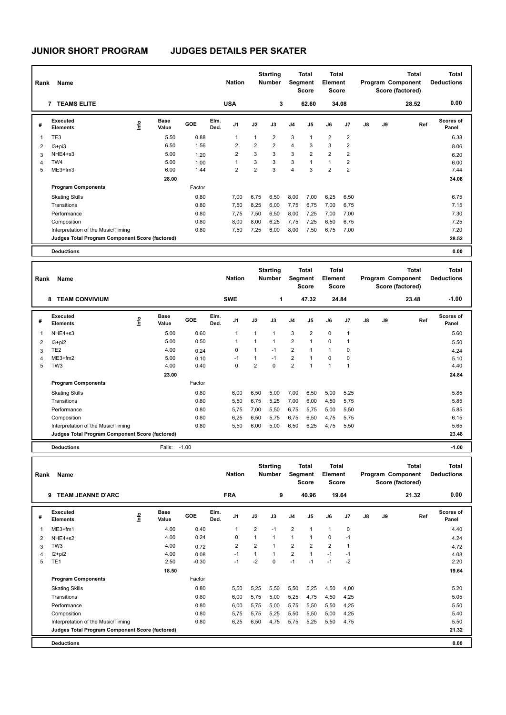| Rank | Name                                            |      |                      |        |              | <b>Nation</b>  |                | <b>Starting</b><br><b>Number</b> |                | <b>Total</b><br>Segment<br><b>Score</b> | <b>Total</b><br>Element<br><b>Score</b> |                |               |    | <b>Total</b><br>Program Component<br>Score (factored) | <b>Total</b><br><b>Deductions</b> |
|------|-------------------------------------------------|------|----------------------|--------|--------------|----------------|----------------|----------------------------------|----------------|-----------------------------------------|-----------------------------------------|----------------|---------------|----|-------------------------------------------------------|-----------------------------------|
|      | <b>TEAMS ELITE</b><br>$\overline{7}$            |      |                      |        |              | <b>USA</b>     |                | 3                                |                | 62.60                                   |                                         | 34.08          |               |    | 28.52                                                 | 0.00                              |
| #    | Executed<br><b>Elements</b>                     | ١nfo | <b>Base</b><br>Value | GOE    | Elm.<br>Ded. | J <sub>1</sub> | J2             | J3                               | J <sub>4</sub> | J <sub>5</sub>                          | J6                                      | J7             | $\mathsf{J}8$ | J9 | Ref                                                   | <b>Scores of</b><br>Panel         |
| 1    | TE3                                             |      | 5.50                 | 0.88   |              | 1              |                | $\overline{2}$                   | 3              | 1                                       | $\overline{2}$                          | $\overline{2}$ |               |    |                                                       | 6.38                              |
| 2    | $13 + pi3$                                      |      | 6.50                 | 1.56   |              | $\overline{2}$ | $\overline{2}$ | $\overline{2}$                   | $\overline{4}$ | 3                                       | 3                                       | $\overline{2}$ |               |    |                                                       | 8.06                              |
| 3    | NHE4+s3                                         |      | 5.00                 | 1.20   |              | $\overline{2}$ | 3              | 3                                | 3              | $\overline{2}$                          | $\overline{2}$                          | $\overline{2}$ |               |    |                                                       | 6.20                              |
| 4    | TW4                                             |      | 5.00                 | 1.00   |              | 1              | 3              | 3                                | 3              | 1                                       | 1                                       | 2              |               |    |                                                       | 6.00                              |
| 5    | $ME3+fm3$                                       |      | 6.00                 | 1.44   |              | 2              | $\overline{2}$ | 3                                | $\overline{4}$ | 3                                       | $\overline{2}$                          | 2              |               |    |                                                       | 7.44                              |
|      |                                                 |      | 28.00                |        |              |                |                |                                  |                |                                         |                                         |                |               |    |                                                       | 34.08                             |
|      | <b>Program Components</b>                       |      |                      | Factor |              |                |                |                                  |                |                                         |                                         |                |               |    |                                                       |                                   |
|      | <b>Skating Skills</b>                           |      |                      | 0.80   |              | 7.00           | 6,75           | 6,50                             | 8,00           | 7,00                                    | 6,25                                    | 6,50           |               |    |                                                       | 6.75                              |
|      | Transitions                                     |      |                      | 0.80   |              | 7,50           | 8,25           | 6,00                             | 7,75           | 6.75                                    | 7,00                                    | 6,75           |               |    |                                                       | 7.15                              |
|      | Performance                                     |      |                      | 0.80   |              | 7,75           | 7,50           | 6,50                             | 8,00           | 7,25                                    | 7,00                                    | 7,00           |               |    |                                                       | 7.30                              |
|      | Composition                                     |      |                      | 0.80   |              | 8,00           | 8,00           | 6,25                             | 7,75           | 7,25                                    | 6,50                                    | 6,75           |               |    |                                                       | 7.25                              |
|      | Interpretation of the Music/Timing              |      |                      | 0.80   |              | 7,50           | 7,25           | 6,00                             | 8,00           | 7,50                                    | 6,75                                    | 7,00           |               |    |                                                       | 7.20                              |
|      | Judges Total Program Component Score (factored) |      |                      |        |              |                |                |                                  |                |                                         |                                         |                |               |    |                                                       | 28.52                             |
|      | <b>Deductions</b>                               |      |                      |        |              |                |                |                                  |                |                                         |                                         |                |               |    |                                                       | 0.00                              |

| Rank | Name                                            |                                  |                      |         |              | <b>Nation</b>  |                | <b>Starting</b><br><b>Number</b> | Segment        | <b>Total</b><br><b>Score</b> | <b>Total</b><br>Element<br><b>Score</b> |                |    |    | <b>Total</b><br>Program Component<br>Score (factored) | <b>Total</b><br><b>Deductions</b> |
|------|-------------------------------------------------|----------------------------------|----------------------|---------|--------------|----------------|----------------|----------------------------------|----------------|------------------------------|-----------------------------------------|----------------|----|----|-------------------------------------------------------|-----------------------------------|
|      | <b>TEAM CONVIVIUM</b><br>8                      |                                  |                      |         |              | <b>SWE</b>     |                | 1                                |                | 47.32                        |                                         | 24.84          |    |    | 23.48                                                 | $-1.00$                           |
| #    | Executed<br><b>Elements</b>                     | $\mathop{\mathsf{Irr}}\nolimits$ | <b>Base</b><br>Value | GOE     | Elm.<br>Ded. | J <sub>1</sub> | J2             | J3                               | J <sub>4</sub> | J5                           | J6                                      | J <sub>7</sub> | J8 | J9 | Ref                                                   | <b>Scores of</b><br>Panel         |
|      | NHE4+s3                                         |                                  | 5.00                 | 0.60    |              | $\overline{1}$ | 1              | $\overline{1}$                   | 3              | $\overline{2}$               | 0                                       | $\overline{1}$ |    |    |                                                       | 5.60                              |
| 2    | $13 + pi2$                                      |                                  | 5.00                 | 0.50    |              |                | 1              | 1                                | $\overline{2}$ | 1                            | 0                                       |                |    |    |                                                       | 5.50                              |
| 3    | TE <sub>2</sub>                                 |                                  | 4.00                 | 0.24    |              | $\Omega$       | 1              | $-1$                             | $\overline{2}$ | 1                            | 1                                       | 0              |    |    |                                                       | 4.24                              |
| 4    | $ME3+fm2$                                       |                                  | 5.00                 | 0.10    |              | $-1$           | 1              | $-1$                             | $\overline{2}$ | 1                            | 0                                       | 0              |    |    |                                                       | 5.10                              |
| 5    | TW <sub>3</sub>                                 |                                  | 4.00                 | 0.40    |              | 0              | $\overline{2}$ | $\mathbf 0$                      | $\overline{2}$ | $\overline{ }$               |                                         | 1              |    |    |                                                       | 4.40                              |
|      |                                                 |                                  | 23.00                |         |              |                |                |                                  |                |                              |                                         |                |    |    |                                                       | 24.84                             |
|      | <b>Program Components</b>                       |                                  |                      | Factor  |              |                |                |                                  |                |                              |                                         |                |    |    |                                                       |                                   |
|      | <b>Skating Skills</b>                           |                                  |                      | 0.80    |              | 6,00           | 6,50           | 5,00                             | 7,00           | 6,50                         | 5,00                                    | 5,25           |    |    |                                                       | 5.85                              |
|      | Transitions                                     |                                  |                      | 0.80    |              | 5,50           | 6,75           | 5,25                             | 7,00           | 6,00                         | 4,50                                    | 5,75           |    |    |                                                       | 5.85                              |
|      | Performance                                     |                                  |                      | 0.80    |              | 5,75           | 7,00           | 5,50                             | 6,75           | 5,75                         | 5,00                                    | 5,50           |    |    |                                                       | 5.85                              |
|      | Composition                                     |                                  |                      | 0.80    |              | 6,25           | 6,50           | 5,75                             | 6,75           | 6,50                         | 4,75                                    | 5,75           |    |    |                                                       | 6.15                              |
|      | Interpretation of the Music/Timing              |                                  |                      | 0.80    |              | 5,50           | 6,00           | 5,00                             | 6,50           | 6,25                         | 4,75                                    | 5,50           |    |    |                                                       | 5.65                              |
|      | Judges Total Program Component Score (factored) |                                  |                      |         |              |                |                |                                  |                |                              |                                         |                |    |    |                                                       | 23.48                             |
|      | <b>Deductions</b>                               |                                  | Falls:               | $-1.00$ |              |                |                |                                  |                |                              |                                         |                |    |    |                                                       | $-1.00$                           |

| Rank | Name                                            |             |                      |         |              | <b>Nation</b>  |                | <b>Starting</b><br><b>Number</b> |                | <b>Total</b><br>Segment<br><b>Score</b> | <b>Total</b><br>Element<br><b>Score</b> |       |               |    | <b>Total</b><br>Program Component<br>Score (factored) | <b>Total</b><br><b>Deductions</b> |
|------|-------------------------------------------------|-------------|----------------------|---------|--------------|----------------|----------------|----------------------------------|----------------|-----------------------------------------|-----------------------------------------|-------|---------------|----|-------------------------------------------------------|-----------------------------------|
|      | <b>TEAM JEANNE D'ARC</b><br>9                   |             |                      |         |              | <b>FRA</b>     |                | 9                                |                | 40.96                                   |                                         | 19.64 |               |    | 21.32                                                 | 0.00                              |
| #    | <b>Executed</b><br><b>Elements</b>              | <u>info</u> | <b>Base</b><br>Value | GOE     | Elm.<br>Ded. | J <sub>1</sub> | J2             | J3                               | J <sub>4</sub> | J5                                      | J6                                      | J7    | $\mathsf{J}8$ | J9 | Ref                                                   | Scores of<br>Panel                |
|      | $ME3+fm1$                                       |             | 4.00                 | 0.40    |              | 1              | $\overline{2}$ | $-1$                             | $\overline{2}$ | $\mathbf{1}$                            | 1                                       | 0     |               |    |                                                       | 4.40                              |
| 2    | NHE4+s2                                         |             | 4.00                 | 0.24    |              | 0              | 1              | $\mathbf{1}$                     | $\mathbf{1}$   | $\mathbf{1}$                            | 0                                       | $-1$  |               |    |                                                       | 4.24                              |
| 3    | TW <sub>3</sub>                                 |             | 4.00                 | 0.72    |              | $\overline{2}$ | $\overline{2}$ | 1                                | $\overline{2}$ | $\overline{2}$                          | $\overline{2}$                          |       |               |    |                                                       | 4.72                              |
| 4    | $12+pi2$                                        |             | 4.00                 | 0.08    |              | $-1$           | 1              | $\mathbf{1}$                     | $\overline{2}$ | $\mathbf{1}$                            | $-1$                                    | $-1$  |               |    |                                                       | 4.08                              |
| 5    | TE <sub>1</sub>                                 |             | 2.50                 | $-0.30$ |              | $-1$           | $-2$           | $\mathbf 0$                      | $-1$           | $-1$                                    | $-1$                                    | $-2$  |               |    |                                                       | 2.20                              |
|      |                                                 |             | 18.50                |         |              |                |                |                                  |                |                                         |                                         |       |               |    |                                                       | 19.64                             |
|      | <b>Program Components</b>                       |             |                      | Factor  |              |                |                |                                  |                |                                         |                                         |       |               |    |                                                       |                                   |
|      | <b>Skating Skills</b>                           |             |                      | 0.80    |              | 5,50           | 5,25           | 5,50                             | 5,50           | 5,25                                    | 4,50                                    | 4,00  |               |    |                                                       | 5.20                              |
|      | Transitions                                     |             |                      | 0.80    |              | 6,00           | 5,75           | 5,00                             | 5,25           | 4,75                                    | 4,50                                    | 4,25  |               |    |                                                       | 5.05                              |
|      | Performance                                     |             |                      | 0.80    |              | 6,00           | 5,75           | 5,00                             | 5,75           | 5,50                                    | 5,50                                    | 4,25  |               |    |                                                       | 5.50                              |
|      | Composition                                     |             |                      | 0.80    |              | 5,75           | 5,75           | 5,25                             | 5,50           | 5,50                                    | 5,00                                    | 4,25  |               |    |                                                       | 5.40                              |
|      | Interpretation of the Music/Timing              |             |                      | 0.80    |              | 6,25           | 6,50           | 4,75                             | 5,75           | 5,25                                    | 5,50                                    | 4,75  |               |    |                                                       | 5.50                              |
|      | Judges Total Program Component Score (factored) |             |                      |         |              |                |                |                                  |                |                                         |                                         |       |               |    |                                                       | 21.32                             |
|      | <b>Deductions</b>                               |             |                      |         |              |                |                |                                  |                |                                         |                                         |       |               |    |                                                       | 0.00                              |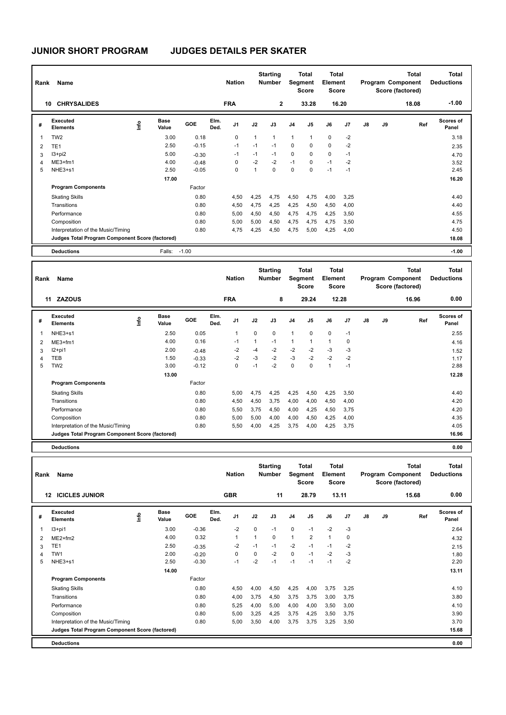| Rank           | Name                                            |    |                      |         |              | <b>Nation</b>  |      | <b>Starting</b><br><b>Number</b> |                | <b>Total</b><br>Segment<br><b>Score</b> | <b>Total</b><br>Element<br><b>Score</b> |       |               |    | <b>Total</b><br>Program Component<br>Score (factored) | <b>Total</b><br><b>Deductions</b> |
|----------------|-------------------------------------------------|----|----------------------|---------|--------------|----------------|------|----------------------------------|----------------|-----------------------------------------|-----------------------------------------|-------|---------------|----|-------------------------------------------------------|-----------------------------------|
| 10             | <b>CHRYSALIDES</b>                              |    |                      |         |              | <b>FRA</b>     |      | $\mathbf{2}$                     |                | 33.28                                   |                                         | 16.20 |               |    | 18.08                                                 | $-1.00$                           |
| #              | Executed<br><b>Elements</b>                     | ۴ů | <b>Base</b><br>Value | GOE     | Elm.<br>Ded. | J <sub>1</sub> | J2   | J3                               | J <sub>4</sub> | J5                                      | J6                                      | J7    | $\mathsf{J}8$ | J9 | Ref                                                   | Scores of<br>Panel                |
| 1              | TW <sub>2</sub>                                 |    | 3.00                 | 0.18    |              | 0              | 1    | $\overline{1}$                   | $\mathbf{1}$   | $\mathbf{1}$                            | $\mathbf 0$                             | $-2$  |               |    |                                                       | 3.18                              |
| $\overline{2}$ | TE <sub>1</sub>                                 |    | 2.50                 | $-0.15$ |              | $-1$           | $-1$ | $-1$                             | $\mathbf 0$    | 0                                       | $\mathbf 0$                             | $-2$  |               |    |                                                       | 2.35                              |
| 3              | $13 + pi2$                                      |    | 5.00                 | $-0.30$ |              | $-1$           | $-1$ | $-1$                             | $\mathbf 0$    | $\Omega$                                | $\mathbf 0$                             | $-1$  |               |    |                                                       | 4.70                              |
| 4              | $ME3+fm1$                                       |    | 4.00                 | $-0.48$ |              | 0              | $-2$ | $-2$                             | $-1$           | $\mathbf 0$                             | $-1$                                    | $-2$  |               |    |                                                       | 3.52                              |
| 5              | NHE3+s1                                         |    | 2.50                 | $-0.05$ |              | 0              | 1    | $\mathbf 0$                      | $\mathbf 0$    | $\Omega$                                | $-1$                                    | $-1$  |               |    |                                                       | 2.45                              |
|                |                                                 |    | 17.00                |         |              |                |      |                                  |                |                                         |                                         |       |               |    |                                                       | 16.20                             |
|                | <b>Program Components</b>                       |    |                      | Factor  |              |                |      |                                  |                |                                         |                                         |       |               |    |                                                       |                                   |
|                | <b>Skating Skills</b>                           |    |                      | 0.80    |              | 4,50           | 4,25 | 4,75                             | 4,50           | 4,75                                    | 4,00                                    | 3,25  |               |    |                                                       | 4.40                              |
|                | Transitions                                     |    |                      | 0.80    |              | 4,50           | 4,75 | 4,25                             | 4,25           | 4,50                                    | 4,50                                    | 4,00  |               |    |                                                       | 4.40                              |
|                | Performance                                     |    |                      | 0.80    |              | 5,00           | 4,50 | 4,50                             | 4,75           | 4,75                                    | 4,25                                    | 3,50  |               |    |                                                       | 4.55                              |
|                | Composition                                     |    |                      | 0.80    |              | 5,00           | 5,00 | 4,50                             | 4,75           | 4,75                                    | 4,75                                    | 3,50  |               |    |                                                       | 4.75                              |
|                | Interpretation of the Music/Timing              |    |                      | 0.80    |              | 4,75           | 4,25 | 4,50                             | 4,75           | 5,00                                    | 4,25                                    | 4,00  |               |    |                                                       | 4.50                              |
|                | Judges Total Program Component Score (factored) |    |                      |         |              |                |      |                                  |                |                                         |                                         |       |               |    |                                                       | 18.08                             |
|                | <b>Deductions</b>                               |    | Falls:               | $-1.00$ |              |                |      |                                  |                |                                         |                                         |       |               |    |                                                       | $-1.00$                           |

| Rank | Name                                            |      |                      |         |              | <b>Nation</b>  |              | <b>Starting</b><br><b>Number</b> |                | Total<br>Segment<br><b>Score</b> | <b>Total</b><br>Element<br>Score |                |               |    | <b>Total</b><br>Program Component<br>Score (factored) | <b>Total</b><br><b>Deductions</b> |
|------|-------------------------------------------------|------|----------------------|---------|--------------|----------------|--------------|----------------------------------|----------------|----------------------------------|----------------------------------|----------------|---------------|----|-------------------------------------------------------|-----------------------------------|
|      | 11 ZAZOUS                                       |      |                      |         |              | <b>FRA</b>     |              | 8                                |                | 29.24                            |                                  | 12.28          |               |    | 16.96                                                 | 0.00                              |
| #    | Executed<br><b>Elements</b>                     | Info | <b>Base</b><br>Value | GOE     | Elm.<br>Ded. | J <sub>1</sub> | J2           | J3                               | J <sub>4</sub> | J <sub>5</sub>                   | J6                               | J <sub>7</sub> | $\mathsf{J}8$ | J9 | Ref                                                   | <b>Scores of</b><br>Panel         |
|      | NHE3+s1                                         |      | 2.50                 | 0.05    |              | 1              | 0            | $\mathbf 0$                      | $\mathbf{1}$   | 0                                | $\mathbf 0$                      | $-1$           |               |    |                                                       | 2.55                              |
| 2    | $ME3+fm1$                                       |      | 4.00                 | 0.16    |              | $-1$           | $\mathbf{1}$ | $-1$                             | $\mathbf{1}$   | 1                                | $\mathbf{1}$                     | 0              |               |    |                                                       | 4.16                              |
| 3    | I2+pi1                                          |      | 2.00                 | $-0.48$ |              | $-2$           | -4           | $-2$                             | $-2$           | $-2$                             | -3                               | -3             |               |    |                                                       | 1.52                              |
| 4    | TEB                                             |      | 1.50                 | $-0.33$ |              | $-2$           | $-3$         | $-2$                             | $-3$           | $-2$                             | $-2$                             | $-2$           |               |    |                                                       | 1.17                              |
| 5    | TW <sub>2</sub>                                 |      | 3.00                 | $-0.12$ |              | 0              | $-1$         | $-2$                             | $\mathbf 0$    | $\Omega$                         | $\mathbf{1}$                     | $-1$           |               |    |                                                       | 2.88                              |
|      |                                                 |      | 13.00                |         |              |                |              |                                  |                |                                  |                                  |                |               |    |                                                       | 12.28                             |
|      | <b>Program Components</b>                       |      |                      | Factor  |              |                |              |                                  |                |                                  |                                  |                |               |    |                                                       |                                   |
|      | <b>Skating Skills</b>                           |      |                      | 0.80    |              | 5,00           | 4,75         | 4,25                             | 4,25           | 4,50                             | 4,25                             | 3,50           |               |    |                                                       | 4.40                              |
|      | Transitions                                     |      |                      | 0.80    |              | 4,50           | 4,50         | 3,75                             | 4,00           | 4,00                             | 4,50                             | 4,00           |               |    |                                                       | 4.20                              |
|      | Performance                                     |      |                      | 0.80    |              | 5,50           | 3,75         | 4,50                             | 4,00           | 4,25                             | 4,50                             | 3,75           |               |    |                                                       | 4.20                              |
|      | Composition                                     |      |                      | 0.80    |              | 5,00           | 5,00         | 4,00                             | 4,00           | 4,50                             | 4,25                             | 4,00           |               |    |                                                       | 4.35                              |
|      | Interpretation of the Music/Timing              |      |                      | 0.80    |              | 5,50           | 4,00         | 4,25                             | 3,75           | 4,00                             | 4,25                             | 3,75           |               |    |                                                       | 4.05                              |
|      | Judges Total Program Component Score (factored) |      |                      |         |              |                |              |                                  |                |                                  |                                  |                |               |    |                                                       | 16.96                             |
|      | <b>Deductions</b>                               |      |                      |         |              |                |              |                                  |                |                                  |                                  |                |               |    |                                                       | 0.00                              |

| Rank | Name                                            |   |                      |         |              | <b>Nation</b> |          | <b>Starting</b><br><b>Number</b> |                | <b>Total</b><br>Segment<br><b>Score</b> | <b>Total</b><br>Element<br><b>Score</b> |       |               |    | <b>Total</b><br>Program Component<br>Score (factored) | <b>Total</b><br><b>Deductions</b> |
|------|-------------------------------------------------|---|----------------------|---------|--------------|---------------|----------|----------------------------------|----------------|-----------------------------------------|-----------------------------------------|-------|---------------|----|-------------------------------------------------------|-----------------------------------|
|      | <b>ICICLES JUNIOR</b><br>12                     |   |                      |         |              | <b>GBR</b>    |          | 11                               |                | 28.79                                   |                                         | 13.11 |               |    | 15.68                                                 | 0.00                              |
| #    | <b>Executed</b><br><b>Elements</b>              | ۴ | <b>Base</b><br>Value | GOE     | Elm.<br>Ded. | J1            | J2       | J3                               | J <sub>4</sub> | J5                                      | J6                                      | J7    | $\mathsf{J}8$ | J9 | Ref                                                   | <b>Scores of</b><br>Panel         |
| 1    | $13+pi1$                                        |   | 3.00                 | $-0.36$ |              | $-2$          | $\Omega$ | $-1$                             | $\mathbf 0$    | $-1$                                    | $-2$                                    | $-3$  |               |    |                                                       | 2.64                              |
| 2    | $ME2+fm2$                                       |   | 4.00                 | 0.32    |              | 1             | 1        | 0                                | $\mathbf{1}$   | $\overline{2}$                          | $\mathbf{1}$                            | 0     |               |    |                                                       | 4.32                              |
| 3    | TE <sub>1</sub>                                 |   | 2.50                 | $-0.35$ |              | $-2$          | $-1$     | $-1$                             | $-2$           | $-1$                                    | $-1$                                    | $-2$  |               |    |                                                       | 2.15                              |
| Δ    | TW1                                             |   | 2.00                 | $-0.20$ |              | 0             | 0        | $-2$                             | $\mathbf 0$    | $-1$                                    | $-2$                                    | -3    |               |    |                                                       | 1.80                              |
| 5    | NHE3+s1                                         |   | 2.50                 | $-0.30$ |              | $-1$          | $-2$     | $-1$                             | $-1$           | $-1$                                    | $-1$                                    | $-2$  |               |    |                                                       | 2.20                              |
|      |                                                 |   | 14.00                |         |              |               |          |                                  |                |                                         |                                         |       |               |    |                                                       | 13.11                             |
|      | <b>Program Components</b>                       |   |                      | Factor  |              |               |          |                                  |                |                                         |                                         |       |               |    |                                                       |                                   |
|      | <b>Skating Skills</b>                           |   |                      | 0.80    |              | 4,50          | 4,00     | 4,50                             | 4,25           | 4,00                                    | 3,75                                    | 3,25  |               |    |                                                       | 4.10                              |
|      | Transitions                                     |   |                      | 0.80    |              | 4,00          | 3,75     | 4,50                             | 3,75           | 3,75                                    | 3,00                                    | 3,75  |               |    |                                                       | 3.80                              |
|      | Performance                                     |   |                      | 0.80    |              | 5,25          | 4,00     | 5,00                             | 4,00           | 4,00                                    | 3,50                                    | 3,00  |               |    |                                                       | 4.10                              |
|      | Composition                                     |   |                      | 0.80    |              | 5,00          | 3,25     | 4,25                             | 3,75           | 4,25                                    | 3,50                                    | 3,75  |               |    |                                                       | 3.90                              |
|      | Interpretation of the Music/Timing              |   |                      | 0.80    |              | 5,00          | 3,50     | 4,00                             | 3,75           | 3,75                                    | 3,25                                    | 3,50  |               |    |                                                       | 3.70                              |
|      | Judges Total Program Component Score (factored) |   |                      |         |              |               |          |                                  |                |                                         |                                         |       |               |    |                                                       | 15.68                             |
|      | <b>Deductions</b>                               |   |                      |         |              |               |          |                                  |                |                                         |                                         |       |               |    |                                                       | 0.00                              |